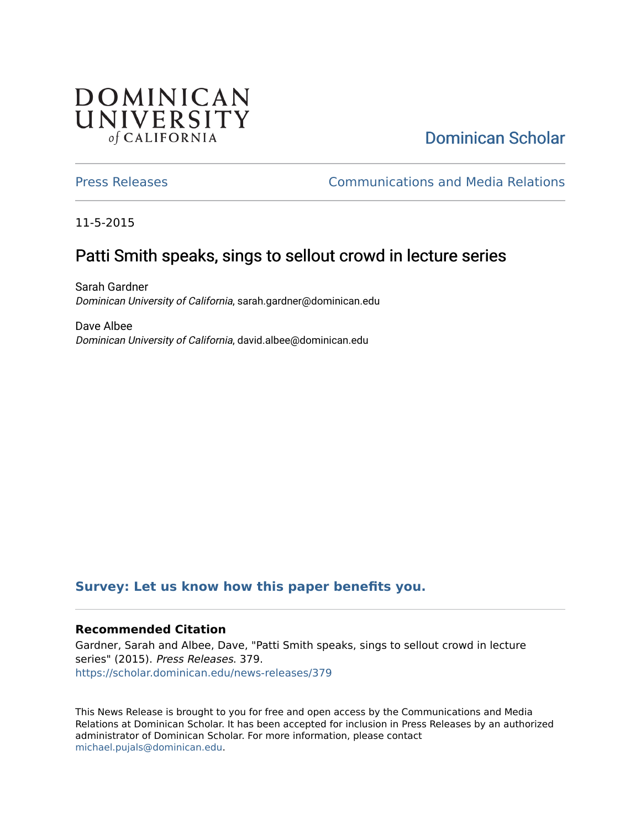## **DOMINICAN** UNIVERSITY of CALIFORNIA

# [Dominican Scholar](https://scholar.dominican.edu/)

[Press Releases](https://scholar.dominican.edu/news-releases) [Communications and Media Relations](https://scholar.dominican.edu/communications-media) 

11-5-2015

## Patti Smith speaks, sings to sellout crowd in lecture series

Sarah Gardner Dominican University of California, sarah.gardner@dominican.edu

Dave Albee Dominican University of California, david.albee@dominican.edu

#### **[Survey: Let us know how this paper benefits you.](https://dominican.libwizard.com/dominican-scholar-feedback)**

#### **Recommended Citation**

Gardner, Sarah and Albee, Dave, "Patti Smith speaks, sings to sellout crowd in lecture series" (2015). Press Releases. 379. [https://scholar.dominican.edu/news-releases/379](https://scholar.dominican.edu/news-releases/379?utm_source=scholar.dominican.edu%2Fnews-releases%2F379&utm_medium=PDF&utm_campaign=PDFCoverPages)

This News Release is brought to you for free and open access by the Communications and Media Relations at Dominican Scholar. It has been accepted for inclusion in Press Releases by an authorized administrator of Dominican Scholar. For more information, please contact [michael.pujals@dominican.edu.](mailto:michael.pujals@dominican.edu)